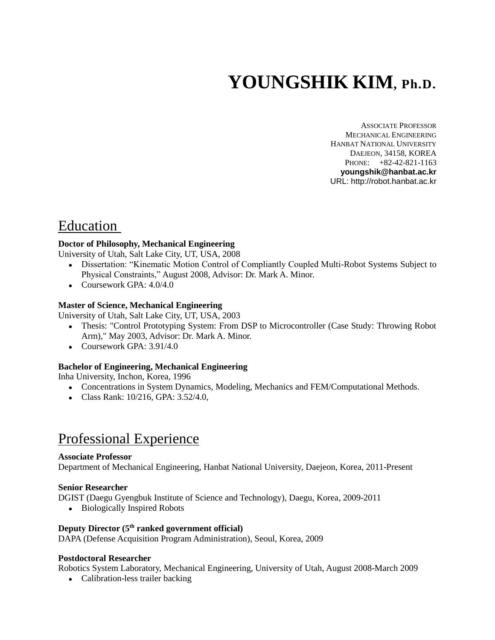# **YOUNGSHIK KIM, Ph.D.**

ASSOCIATE PROFESSOR MECHANICAL ENGINEERING HANBAT NATIONAL UNIVERSITY DAEJEON, 34158, KOREA PHONE: +82-42-821-1163 **youngshik@hanbat.ac.kr** URL: http://robot.hanbat.ac.kr

# Education

### **Doctor of Philosophy, Mechanical Engineering**

University of Utah, Salt Lake City, UT, USA, 2008

- Dissertation: "Kinematic Motion Control of Compliantly Coupled Multi-Robot Systems Subject to Physical Constraints," August 2008, Advisor: Dr. Mark A. Minor.
- Coursework GPA:  $4.0/4.0$

### **Master of Science, Mechanical Engineering**

University of Utah, Salt Lake City, UT, USA, 2003

- Thesis: "Control Prototyping System: From DSP to Microcontroller (Case Study: Throwing Robot Arm)," May 2003, Advisor: Dr. Mark A. Minor.
- $\bullet$  Coursework GPA: 3.91/4.0

### **Bachelor of Engineering, Mechanical Engineering**

Inha University, Inchon, Korea, 1996

- Concentrations in System Dynamics, Modeling, Mechanics and FEM/Computational Methods.
- Class Rank: 10/216, GPA: 3.52/4.0,

# Professional Experience

### **Associate Professor**

Department of Mechanical Engineering, Hanbat National University, Daejeon, Korea, 2011-Present

### **Senior Researcher**

DGIST (Daegu Gyengbuk Institute of Science and Technology), Daegu, Korea, 2009-2011

• Biologically Inspired Robots

### **Deputy Director (5th ranked government official)**

DAPA (Defense Acquisition Program Administration), Seoul, Korea, 2009

### **Postdoctoral Researcher**

Robotics System Laboratory, Mechanical Engineering, University of Utah, August 2008-March 2009

• Calibration-less trailer backing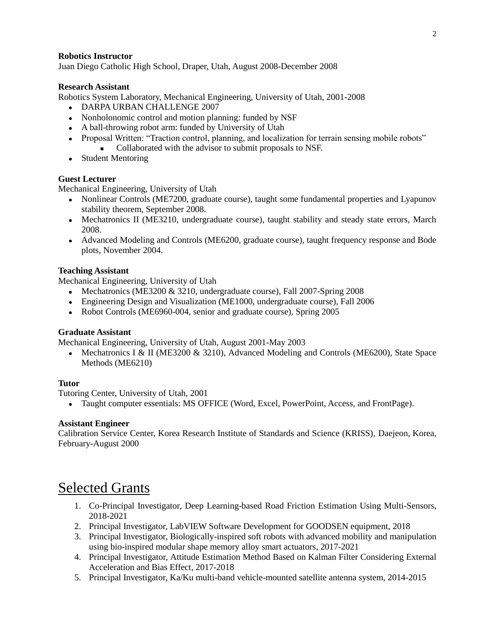### **Robotics Instructor**

Juan Diego Catholic High School, Draper, Utah, August 2008-December 2008

### **Research Assistant**

Robotics System Laboratory, Mechanical Engineering, University of Utah, 2001-2008

- DARPA URBAN CHALLENGE 2007
- Nonholonomic control and motion planning: funded by NSF
- A ball-throwing robot arm: funded by University of Utah
- Proposal Written: "Traction control, planning, and localization for terrain sensing mobile robots"
	- Collaborated with the advisor to submit proposals to NSF.
- Student Mentoring

### **Guest Lecturer**

Mechanical Engineering, University of Utah

- Nonlinear Controls (ME7200, graduate course), taught some fundamental properties and Lyapunov stability theorem, September 2008.
- Mechatronics II (ME3210, undergraduate course), taught stability and steady state errors, March 2008.
- Advanced Modeling and Controls (ME6200, graduate course), taught frequency response and Bode plots, November 2004.

### **Teaching Assistant**

Mechanical Engineering, University of Utah

- Mechatronics (ME3200 & 3210, undergraduate course), Fall 2007-Spring 2008
- Engineering Design and Visualization (ME1000, undergraduate course), Fall 2006
- Robot Controls (ME6960-004, senior and graduate course), Spring 2005

### **Graduate Assistant**

Mechanical Engineering, University of Utah, August 2001-May 2003

• Mechatronics I & II (ME3200 & 3210), Advanced Modeling and Controls (ME6200), State Space Methods (ME6210)

### **Tutor**

Tutoring Center, University of Utah, 2001

Taught computer essentials: MS OFFICE (Word, Excel, PowerPoint, Access, and FrontPage).

### **Assistant Engineer**

Calibration Service Center, Korea Research Institute of Standards and Science (KRISS), Daejeon, Korea, February-August 2000

# Selected Grants

- 1. Co-Principal Investigator, Deep Learning-based Road Friction Estimation Using Multi-Sensors, 2018-2021
- 2. Principal Investigator, LabVIEW Software Development for GOODSEN equipment, 2018
- 3. Principal Investigator, Biologically-inspired soft robots with advanced mobility and manipulation using bio-inspired modular shape memory alloy smart actuators, 2017-2021
- 4. Principal Investigator, Attitude Estimation Method Based on Kalman Filter Considering External Acceleration and Bias Effect, 2017-2018
- 5. Principal Investigator, Ka/Ku multi-band vehicle-mounted satellite antenna system, 2014-2015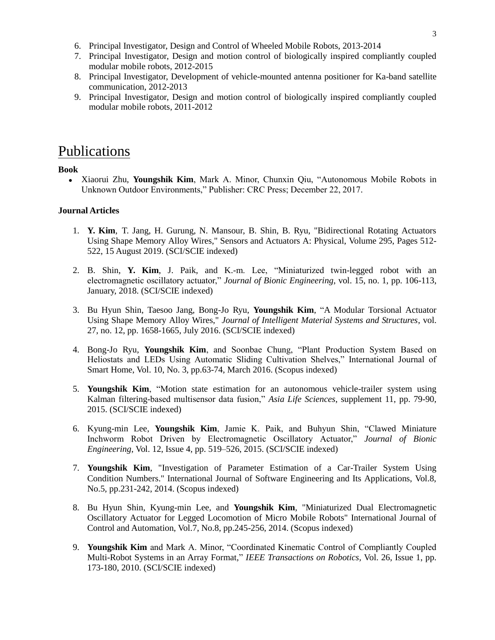- 6. Principal Investigator, Design and Control of Wheeled Mobile Robots, 2013-2014
- 7. Principal Investigator, Design and motion control of biologically inspired compliantly coupled modular mobile robots, 2012-2015
- 8. Principal Investigator, Development of vehicle-mounted antenna positioner for Ka-band satellite communication, 2012-2013
- 9. Principal Investigator, Design and motion control of biologically inspired compliantly coupled modular mobile robots, 2011-2012

### Publications

### **Book**

 Xiaorui Zhu, **Youngshik Kim**, Mark A. Minor, Chunxin Qiu, "Autonomous Mobile Robots in Unknown Outdoor Environments," Publisher: CRC Press; December 22, 2017.

### **Journal Articles**

- 1. **Y. Kim**, T. Jang, H. Gurung, N. Mansour, B. Shin, B. Ryu, "Bidirectional Rotating Actuators Using Shape Memory Alloy Wires," Sensors and Actuators A: Physical, Volume 295, Pages 512- 522, 15 August 2019. (SCI/SCIE indexed)
- 2. B. Shin, **Y. Kim**, J. Paik, and K.-m. Lee, "Miniaturized twin-legged robot with an electromagnetic oscillatory actuator," *Journal of Bionic Engineering*, vol. 15, no. 1, pp. 106-113, January, 2018. (SCI/SCIE indexed)
- 3. Bu Hyun Shin, Taesoo Jang, Bong-Jo Ryu, **Youngshik Kim**, "A Modular Torsional Actuator Using Shape Memory Alloy Wires," *Journal of Intelligent Material Systems and Structures*, vol. 27, no. 12, pp. 1658-1665, July 2016. (SCI/SCIE indexed)
- 4. Bong-Jo Ryu, **Youngshik Kim**, and Soonbae Chung, "Plant Production System Based on Heliostats and LEDs Using Automatic Sliding Cultivation Shelves," International Journal of Smart Home, Vol. 10, No. 3, pp.63-74, March 2016. (Scopus indexed)
- 5. **Youngshik Kim**, "Motion state estimation for an autonomous vehicle-trailer system using Kalman filtering-based multisensor data fusion," *Asia Life Sciences*, supplement 11, pp. 79-90, 2015. (SCI/SCIE indexed)
- 6. Kyung-min Lee, **Youngshik Kim**, Jamie K. Paik, and Buhyun Shin, "Clawed Miniature Inchworm Robot Driven by Electromagnetic Oscillatory Actuator," *Journal of Bionic Engineering*, Vol. 12, Issue 4, pp. 519–526, 2015. (SCI/SCIE indexed)
- 7. **Youngshik Kim**, "Investigation of Parameter Estimation of a Car-Trailer System Using Condition Numbers." International Journal of Software Engineering and Its Applications, Vol.8, No.5, pp.231-242, 2014. (Scopus indexed)
- 8. Bu Hyun Shin, Kyung-min Lee, and **Youngshik Kim**, "Miniaturized Dual Electromagnetic Oscillatory Actuator for Legged Locomotion of Micro Mobile Robots" International Journal of Control and Automation, Vol.7, No.8, pp.245-256, 2014. (Scopus indexed)
- 9. **Youngshik Kim** and Mark A. Minor, "Coordinated Kinematic Control of Compliantly Coupled Multi-Robot Systems in an Array Format," *IEEE Transactions on Robotics,* Vol. 26, Issue 1, pp. 173-180, 2010. (SCI/SCIE indexed)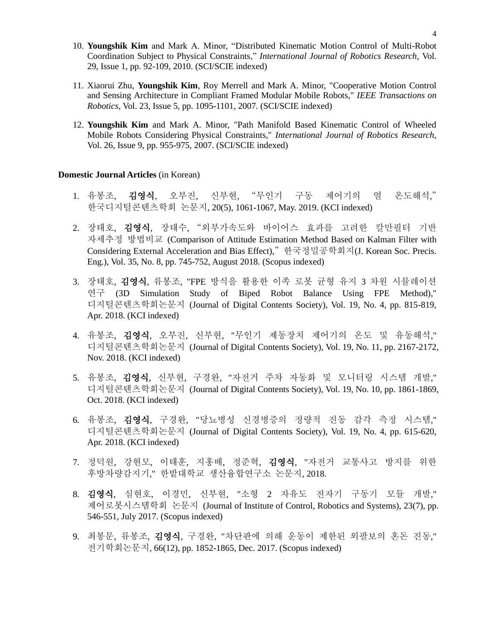- 10. **Youngshik Kim** and Mark A. Minor, "Distributed Kinematic Motion Control of Multi-Robot Coordination Subject to Physical Constraints," *International Journal of Robotics Research*, Vol. 29, Issue 1, pp. 92-109, 2010. (SCI/SCIE indexed)
- 11. Xiaorui Zhu, **Youngshik Kim**, Roy Merrell and Mark A. Minor, "Cooperative Motion Control and Sensing Architecture in Compliant Framed Modular Mobile Robots," *IEEE Transactions on Robotics*, Vol. 23, Issue 5, pp. 1095-1101, 2007*.* (SCI/SCIE indexed)
- 12. **Youngshik Kim** and Mark A. Minor, "Path Manifold Based Kinematic Control of Wheeled Mobile Robots Considering Physical Constraints," *International Journal of Robotics Research,*  Vol. 26, Issue 9, pp. 955-975, 2007. (SCI/SCIE indexed)

#### **Domestic Journal Articles** (in Korean)

- 1. 유봉조, 김영식, 오부진, 신부현, "무인기 구동 제어기의 열 온도해석," 한국디지털콘텐츠학회 논문지, 20(5), 1061-1067, May. 2019. (KCI indexed)
- 2. 장태호, 김영식, 장태수, "외부가속도와 바이어스 효과를 고려한 칼만필터 기반 자세추정 방법비교 (Comparison of Attitude Estimation Method Based on Kalman Filter with Considering External Acceleration and Bias Effect)," 한국정밀공학회지(J. Korean Soc. Precis. Eng.), Vol. 35, No. 8, pp. 745-752, August 2018. (Scopus indexed)
- 3. 장태호, 김영식, 류봉조, "FPE 방식을 활용한 이족 로봇 균형 유지 3 차원 시뮬레이션 연구 (3D Simulation Study of Biped Robot Balance Using FPE Method)," 디지털콘텐츠학회논문지 (Journal of Digital Contents Society), Vol. 19, No. 4, pp. 815-819, Apr. 2018. (KCI indexed)
- 4. 유봉조, 김영식, 오부진, 신부현, "무인기 제동장치 제어기의 온도 및 유동해석," 디지털콘텐츠학회논문지 (Journal of Digital Contents Society), Vol. 19, No. 11, pp. 2167-2172, Nov. 2018. (KCI indexed)
- 5. 유봉조, 김영식, 신부현, 구경완, "자전거 주차 자동화 및 모니터링 시스템 개발," 디지털콘텐츠학회논문지 (Journal of Digital Contents Society), Vol. 19, No. 10, pp. 1861-1869, Oct. 2018. (KCI indexed)
- 6. 유봉조, 김영식, 구경완, "당뇨병성 신경병증의 정량적 진동 감각 측정 시스템," 디지털콘텐츠학회논문지 (Journal of Digital Contents Society), Vol. 19, No. 4, pp. 615-620, Apr. 2018. (KCI indexed)
- 7. 정덕원, 강현모, 이태훈, 지홍배, 정준혁, 김영식, "자전거 교통사고 방지를 위한 후방차량감지기," 한밭대학교 생산융합연구소 논문지, 2018.
- 8. 김영식, 심현호, 이경민, 신부현, "소형 2 자유도 전자기 구동기 모듈 개발," 제어로봇시스템학회 논문지 (Journal of Institute of Control, Robotics and Systems), 23(7), pp. 546-551, July 2017. (Scopus indexed)
- 9. 최봉문, 류봉조, 김영식, 구경완, "차단판에 의해 운동이 제한된 외팔보의 혼돈 진동," 전기학회논문지, 66(12), pp. 1852-1865, Dec. 2017. (Scopus indexed)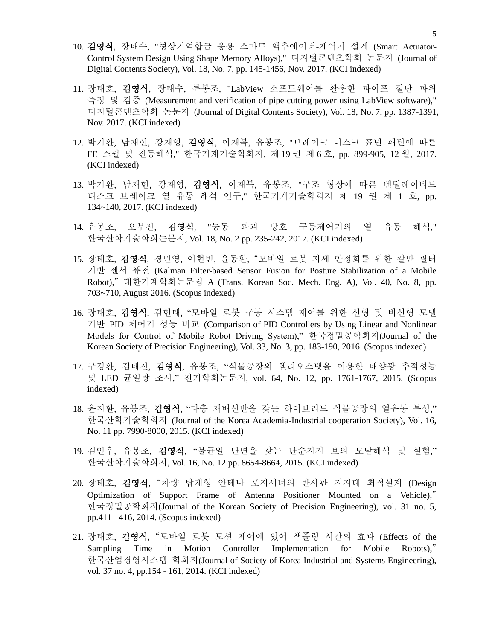- 10. 김영식, 장태수, "형상기억합금 응용 스마트 액추에이터-제어기 설계 (Smart Actuator-Control System Design Using Shape Memory Alloys)," 디지털콘텐츠학회 논문지 (Journal of Digital Contents Society), Vol. 18, No. 7, pp. 145-1456, Nov. 2017. (KCI indexed)
- 11. 장태호, 김영식, 장태수, 류봉조, "LabView 소프트웨어를 활용한 파이프 절단 파워 측정 및 검증 (Measurement and verification of pipe cutting power using LabView software)," 디지털콘텐츠학회 논문지 (Journal of Digital Contents Society), Vol. 18, No. 7, pp. 1387-1391, Nov. 2017. (KCI indexed)
- 12. 박기완, 남재현, 강재영, 김영식, 이재복, 유봉조, "브레이크 디스크 표면 패턴에 따른 FE 스퀼 및 진동해석," 한국기계기술학회지, 제 19 권 제 6 호, pp. 899-905, 12 월, 2017. (KCI indexed)
- 13. 박기완, 남재현, 강재영, 김영식, 이재복, 유봉조, "구조 형상에 따른 벤틸레이티드 디스크 브레이크 열 유동 해석 연구," 한국기계기술학회지 제 19 권 제 1 호, pp. 134~140, 2017. (KCI indexed)
- 14. 유봉조, 오부진, 김영식, "능동 파괴 방호 구동제어기의 열 유동 해석," 한국산학기술학회논문지, Vol. 18, No. 2 pp. 235-242, 2017. (KCI indexed)
- 15. 장태호, 김영식, 경민영, 이현빈, 윤동환, "모바일 로봇 자세 안정화를 위한 칼만 필터 기반 센서 퓨전 (Kalman Filter-based Sensor Fusion for Posture Stabilization of a Mobile Robot)," 대한기계학회논문집 A (Trans. Korean Soc. Mech. Eng. A), Vol. 40, No. 8, pp. 703~710, August 2016. (Scopus indexed)
- 16. 장태호, 김영식, 김현태, "모바일 로봇 구동 시스템 제어를 위한 선형 및 비선형 모델 기반 PID 제어기 성능 비교 (Comparison of PID Controllers by Using Linear and Nonlinear Models for Control of Mobile Robot Driving System)," 한국정밀공학회지(Journal of the Korean Society of Precision Engineering), Vol. 33, No. 3, pp. 183-190, 2016. (Scopus indexed)
- 17. 구경완, 김태진, 김영식, 유봉조, "식물공장의 헬리오스탯을 이용한 태양광 추적성능 및 LED 균일광 조사," 전기학회논문지, vol. 64, No. 12, pp. 1761-1767, 2015. (Scopus indexed)
- 18. 윤지환, 유봉조, 김영식, "다층 재배선반을 갖는 하이브리드 식물공장의 열유동 특성," 한국산학기술학회지 (Journal of the Korea Academia-Industrial cooperation Society), Vol. 16, No. 11 pp. 7990-8000, 2015. (KCI indexed)
- 19. 김인우, 유봉조, 김영식, "불균일 단면을 갖는 단순지지 보의 모달해석 및 실험," 한국산학기술학회지, Vol. 16, No. 12 pp. 8654-8664, 2015. (KCI indexed)
- 20. 장태호, 김영식, "차량 탑재형 안테나 포지셔너의 반사판 지지대 최적설계 (Design Optimization of Support Frame of Antenna Positioner Mounted on a Vehicle)," 한국정밀공학회지(Journal of the Korean Society of Precision Engineering), vol. 31 no. 5, pp.411 - 416, 2014. (Scopus indexed)
- 21. 장태호, 김영식, "모바일 로봇 모션 제어에 있어 샘플링 시간의 효과 (Effects of the Sampling Time in Motion Controller Implementation for Mobile Robots)," 한국산업경영시스템 학회지(Journal of Society of Korea Industrial and Systems Engineering), vol. 37 no. 4, pp.154 - 161, 2014. (KCI indexed)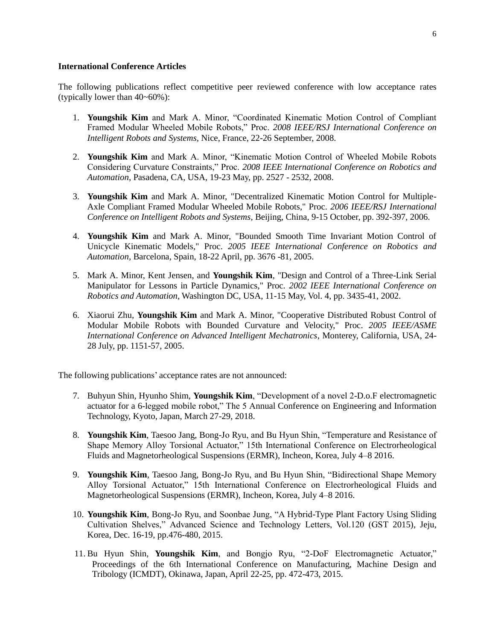### **International Conference Articles**

The following publications reflect competitive peer reviewed conference with low acceptance rates (typically lower than 40~60%):

- 1. **Youngshik Kim** and Mark A. Minor, "Coordinated Kinematic Motion Control of Compliant Framed Modular Wheeled Mobile Robots," Proc. *2008 IEEE/RSJ International Conference on Intelligent Robots and Systems,* Nice, France, 22-26 September, 2008.
- 2. **Youngshik Kim** and Mark A. Minor, "Kinematic Motion Control of Wheeled Mobile Robots Considering Curvature Constraints," Proc. *2008 IEEE International Conference on Robotics and Automation*, Pasadena, CA, USA, 19-23 May, pp. 2527 - 2532, 2008.
- 3. **Youngshik Kim** and Mark A. Minor, "Decentralized Kinematic Motion Control for Multiple-Axle Compliant Framed Modular Wheeled Mobile Robots," Proc. *2006 IEEE/RSJ International Conference on Intelligent Robots and Systems*, Beijing, China, 9-15 October, pp. 392-397, 2006.
- 4. **Youngshik Kim** and Mark A. Minor, "Bounded Smooth Time Invariant Motion Control of Unicycle Kinematic Models," Proc. *2005 IEEE International Conference on Robotics and Automation*, Barcelona, Spain, 18-22 April, pp. 3676 -81, 2005.
- 5. Mark A. Minor, Kent Jensen, and **Youngshik Kim**, "Design and Control of a Three-Link Serial Manipulator for Lessons in Particle Dynamics," Proc. *2002 IEEE International Conference on Robotics and Automation*, Washington DC, USA, 11-15 May, Vol. 4, pp. 3435-41, 2002.
- 6. Xiaorui Zhu, **Youngshik Kim** and Mark A. Minor, "Cooperative Distributed Robust Control of Modular Mobile Robots with Bounded Curvature and Velocity," Proc. *2005 IEEE/ASME International Conference on Advanced Intelligent Mechatronics*, Monterey, California, USA, 24- 28 July, pp. 1151-57, 2005.

The following publications' acceptance rates are not announced:

- 7. Buhyun Shin, Hyunho Shim, **Youngshik Kim**, "Development of a novel 2-D.o.F electromagnetic actuator for a 6-legged mobile robot," The 5 Annual Conference on Engineering and Information Technology, Kyoto, Japan, March 27-29, 2018.
- 8. **Youngshik Kim**, Taesoo Jang, Bong-Jo Ryu, and Bu Hyun Shin, "Temperature and Resistance of Shape Memory Alloy Torsional Actuator," 15th International Conference on Electrorheological Fluids and Magnetorheological Suspensions (ERMR), Incheon, Korea, July 4–8 2016.
- 9. **Youngshik Kim**, Taesoo Jang, Bong-Jo Ryu, and Bu Hyun Shin, "Bidirectional Shape Memory Alloy Torsional Actuator," 15th International Conference on Electrorheological Fluids and Magnetorheological Suspensions (ERMR), Incheon, Korea, July 4–8 2016.
- 10. **Youngshik Kim**, Bong-Jo Ryu, and Soonbae Jung, "A Hybrid-Type Plant Factory Using Sliding Cultivation Shelves," Advanced Science and Technology Letters, Vol.120 (GST 2015), Jeju, Korea, Dec. 16-19, pp.476-480, 2015.
- 11. Bu Hyun Shin, **Youngshik Kim**, and Bongjo Ryu, "2-DoF Electromagnetic Actuator," Proceedings of the 6th International Conference on Manufacturing, Machine Design and Tribology (ICMDT), Okinawa, Japan, April 22-25, pp. 472-473, 2015.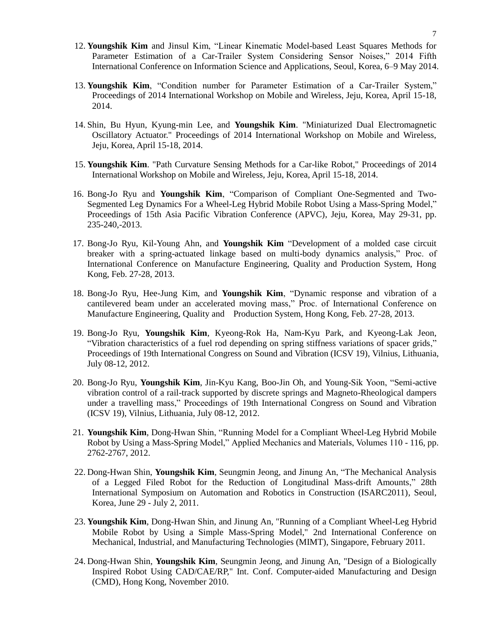- 12. **Youngshik Kim** and Jinsul Kim, "Linear Kinematic Model-based Least Squares Methods for Parameter Estimation of a Car-Trailer System Considering Sensor Noises," 2014 Fifth International Conference on Information Science and Applications, Seoul, Korea, 6–9 May 2014.
- 13. **Youngshik Kim**, "Condition number for Parameter Estimation of a Car-Trailer System," Proceedings of 2014 International Workshop on Mobile and Wireless, Jeju, Korea, April 15-18, 2014.
- 14. Shin, Bu Hyun, Kyung-min Lee, and **Youngshik Kim**. "Miniaturized Dual Electromagnetic Oscillatory Actuator." Proceedings of 2014 International Workshop on Mobile and Wireless, Jeju, Korea, April 15-18, 2014.
- 15. **Youngshik Kim**. "Path Curvature Sensing Methods for a Car-like Robot," Proceedings of 2014 International Workshop on Mobile and Wireless, Jeju, Korea, April 15-18, 2014.
- 16. Bong-Jo Ryu and **Youngshik Kim**, "Comparison of Compliant One-Segmented and Two-Segmented Leg Dynamics For a Wheel-Leg Hybrid Mobile Robot Using a Mass-Spring Model," Proceedings of 15th Asia Pacific Vibration Conference (APVC), Jeju, Korea, May 29-31, pp. 235-240,-2013.
- 17. Bong-Jo Ryu, Kil-Young Ahn, and **Youngshik Kim** "Development of a molded case circuit breaker with a spring-actuated linkage based on multi-body dynamics analysis," Proc. of International Conference on Manufacture Engineering, Quality and Production System, Hong Kong, Feb. 27-28, 2013.
- 18. Bong-Jo Ryu, Hee-Jung Kim, and **Youngshik Kim**, "Dynamic response and vibration of a cantilevered beam under an accelerated moving mass," Proc. of International Conference on Manufacture Engineering, Quality and Production System, Hong Kong, Feb. 27-28, 2013.
- 19. Bong-Jo Ryu, **Youngshik Kim**, Kyeong-Rok Ha, Nam-Kyu Park, and Kyeong-Lak Jeon, "Vibration characteristics of a fuel rod depending on spring stiffness variations of spacer grids," Proceedings of 19th International Congress on Sound and Vibration (ICSV 19), Vilnius, Lithuania, July 08-12, 2012.
- 20. Bong-Jo Ryu, **Youngshik Kim**, Jin-Kyu Kang, Boo-Jin Oh, and Young-Sik Yoon, "Semi-active vibration control of a rail-track supported by discrete springs and Magneto-Rheological dampers under a travelling mass," Proceedings of 19th International Congress on Sound and Vibration (ICSV 19), Vilnius, Lithuania, July 08-12, 2012.
- 21. **Youngshik Kim**, Dong-Hwan Shin, "Running Model for a Compliant Wheel-Leg Hybrid Mobile Robot by Using a Mass-Spring Model," Applied Mechanics and Materials, Volumes 110 - 116, pp. 2762-2767, 2012.
- 22. Dong-Hwan Shin, **Youngshik Kim**, Seungmin Jeong, and Jinung An, "The Mechanical Analysis of a Legged Filed Robot for the Reduction of Longitudinal Mass-drift Amounts," 28th International Symposium on Automation and Robotics in Construction (ISARC2011), Seoul, Korea, June 29 - July 2, 2011.
- 23. **Youngshik Kim**, Dong-Hwan Shin, and Jinung An, "Running of a Compliant Wheel-Leg Hybrid Mobile Robot by Using a Simple Mass-Spring Model," 2nd International Conference on Mechanical, Industrial, and Manufacturing Technologies (MIMT), Singapore, February 2011.
- 24. Dong-Hwan Shin, **Youngshik Kim**, Seungmin Jeong, and Jinung An, "Design of a Biologically Inspired Robot Using CAD/CAE/RP," Int. Conf. Computer-aided Manufacturing and Design (CMD), Hong Kong, November 2010.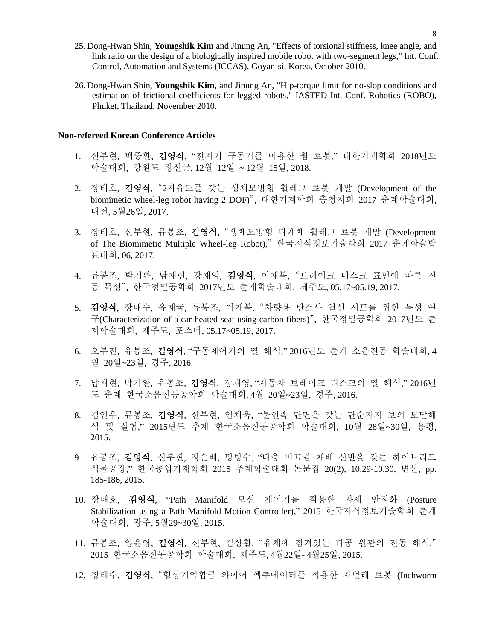- 25. Dong-Hwan Shin, **Youngshik Kim** and Jinung An, "Effects of torsional stiffness, knee angle, and link ratio on the design of a biologically inspired mobile robot with two-segment legs," Int. Conf. Control, Automation and Systems (ICCAS), Goyan-si, Korea, October 2010.
- 26. Dong-Hwan Shin, **Youngshik Kim**, and Jinung An, "Hip-torque limit for no-slop conditions and estimation of frictional coefficients for legged robots," IASTED Int. Conf. Robotics (ROBO), Phuket, Thailand, November 2010.

### **Non-refereed Korean Conference Articles**

- 1. 신부현, 백중환, 김영식, "전자기 구동기를 이용한 웜 로봇," 대한기계학회 2018년도 학술대회, 강원도 정선군, 12월 12일 ~ 12월 15일, 2018.
- 2. 장태호, 김영식, "2자유도를 갖는 생체모방형 휠레그 로봇 개발 (Development of the biomimetic wheel-leg robot having 2 DOF)", 대한기계학회 충청지회 2017 춘계학술대회, 대전, 5월26일, 2017.
- 3. 장태호, 신부현, 류봉조, 김영식, "생체모방형 다개체 휠레그 로봇 개발 (Development of The Biomimetic Multiple Wheel-leg Robot)," 한국지식정보기술학회 2017 춘계학술발 표대회, 06, 2017.
- 4. 류봉조, 박기완, 남재현, 강재영, 김영식, 이재복, "브레이크 디스크 표면에 따른 진 동 특성", 한국정밀공학회 2017년도 춘계학술대회, 제주도, 05.17~05.19, 2017.
- 5. 김영식, 장태수, 유재국, 류봉조, 이재복, "차량용 탄소사 열선 시트를 위한 특성 연 구(Characterization of a car heated seat using carbon fibers)", 한국정밀공학회 2017년도 춘 계학술대회, 제주도, 포스터, 05.17~05.19, 2017.
- 6. 오부진, 유봉조, 김영식, "구동제어기의 열 해석," 2016년도 춘계 소음진동 학술대회, 4 월 20일~23일, 경주, 2016.
- 7. 남재현, 박기완, 유봉조, 김영식, 강재영, "자동차 브레이크 디스크의 열 해석," 2016년 도 춘계 한국소음진동공학회 학술대회, 4월 20일~23일, 경주, 2016.
- 8. 김인우, 류봉조, 김영식, 신부현, 임채욱, "불연속 단면을 갖는 단순지지 보의 모달해 석 및 실험," 2015년도 추계 한국소음진동공학회 학술대회, 10월 28일~30일, 용평, 2015.
- 9. 유봉조, 김영식, 신부현, 정순배, 명병수, "다층 미끄럼 재배 선반을 갖는 하이브리드 식물공장," 한국농업기계학회 2015 추계학술대회 논문집 20(2), 10.29-10.30, 변산, pp. 185-186, 2015.
- 10. 장태호, 김영식, "Path Manifold 모션 제어기를 적용한 자세 안정화 (Posture Stabilization using a Path Manifold Motion Controller)," 2015 한국지식정보기술학회 춘계 학술대회, 광주, 5월29~30일, 2015.
- 11. 류봉조, 양윤영, 김영식, 신부현, 김상활, "유체에 잠겨있는 다공 원판의 진동 해석," 2015 한국소음진동공학회 학술대회, 제주도, 4월22일- 4월25일, 2015.
- 12. 장태수, 김영식, "형상기억합금 와이어 엑추에이터를 적용한 자벌래 로봇 (Inchworm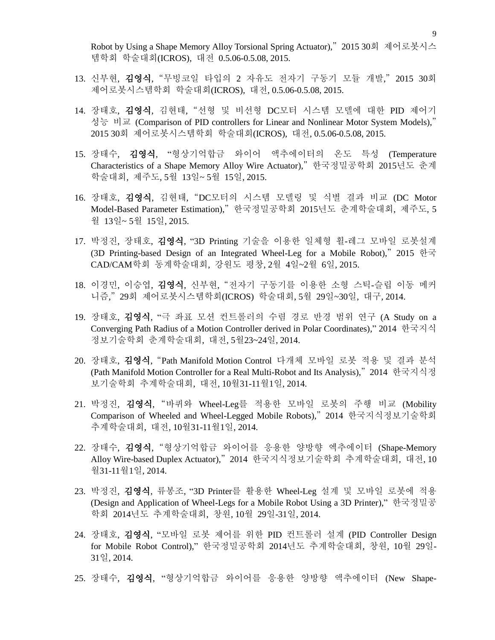Robot by Using a Shape Memory Alloy Torsional Spring Actuator)," 2015 30회 제어로봇시스 템학회 학술대회(ICROS), 대전 0.5.06-0.5.08, 2015.

- 13. 신부현, 김영식, "무빙코일 타입의 2 자유도 전자기 구동기 모듈 개발," 2015 30회 제어로봇시스템학회 학술대회(ICROS), 대전, 0.5.06-0.5.08, 2015.
- 14. 장태호, 김영식, 김현태, "선형 및 비선형 DC모터 시스템 모델에 대한 PID 제어기 성능 비교 (Comparison of PID controllers for Linear and Nonlinear Motor System Models)," 2015 30회 제어로봇시스템학회 학술대회(ICROS), 대전, 0.5.06-0.5.08, 2015.
- 15. 장태수, 김영식, "형상기억합금 와이어 액추에이터의 온도 특성 (Temperature Characteristics of a Shape Memory Alloy Wire Actuator)," 한국정밀공학회 2015년도 춘계 학술대회, 제주도, 5월 13일~ 5월 15일, 2015.
- 16. 장태호, 김영식, 김현태, "DC모터의 시스템 모델링 및 식별 결과 비교 (DC Motor Model-Based Parameter Estimation)," 한국정밀공학회 2015년도 춘계학술대회, 제주도, 5 월 13일~ 5월 15일, 2015.
- 17. 박정진, 장태호, 김영식, "3D Printing 기술을 이용한 일체형 휠-레그 모바일 로봇설계 (3D Printing-based Design of an Integrated Wheel-Leg for a Mobile Robot)," 2015 한국 CAD/CAM학회 동계학술대회, 강원도 평창, 2월 4일~2월 6일, 2015.
- 18. 이경민, 이승엽, 김영식, 신부현, "전자기 구동기를 이용한 소형 스틱-슬립 이동 메커 니즘," 29회 제어로봇시스템학회(ICROS) 학술대회, 5월 29일~30일, 대구, 2014.
- 19. 장태호, 김영식, "극 좌표 모션 컨트롤러의 수렴 경로 반경 범위 연구 (A Study on a Converging Path Radius of a Motion Controller derived in Polar Coordinates)," 2014 한국지식 정보기술학회 춘계학술대회, 대전, 5월23~24일, 2014.
- 20. 장태호, 김영식, "Path Manifold Motion Control 다개체 모바일 로봇 적용 및 결과 분석 (Path Manifold Motion Controller for a Real Multi-Robot and Its Analysis)," 2014 한국지식정 보기술학회 추계학술대회, 대전, 10월31-11월1일, 2014.
- 21. 박정진, 김영식, "바퀴와 Wheel-Leg를 적용한 모바일 로봇의 주행 비교 (Mobility Comparison of Wheeled and Wheel-Legged Mobile Robots)," 2014 한국지식정보기술학회 추계학술대회, 대전, 10월31-11월1일, 2014.
- 22. 장태수, 김영식, "형상기억합금 와이어를 응용한 양방향 엑추에이터 (Shape-Memory Alloy Wire-based Duplex Actuator)," 2014 한국지식정보기술학회 추계학술대회, 대전, 10 월31-11월1일, 2014.
- 23. 박정진, 김영식, 류봉조, "3D Printer를 활용한 Wheel-Leg 설계 및 모바일 로봇에 적용 (Design and Application of Wheel-Legs for a Mobile Robot Using a 3D Printer)," 한국정밀공 학회 2014년도 추계학술대회, 창원, 10월 29일-31일, 2014.
- 24. 장태호, 김영식, "모바일 로봇 제어를 위한 PID 컨트롤러 설계 (PID Controller Design for Mobile Robot Control)," 한국정밀공학회 2014년도 추계학술대회, 창원, 10월 29일-31일, 2014.
- 25. 장태수, 김영식, "형상기억합금 와이어를 응용한 양방향 액추에이터 (New Shape-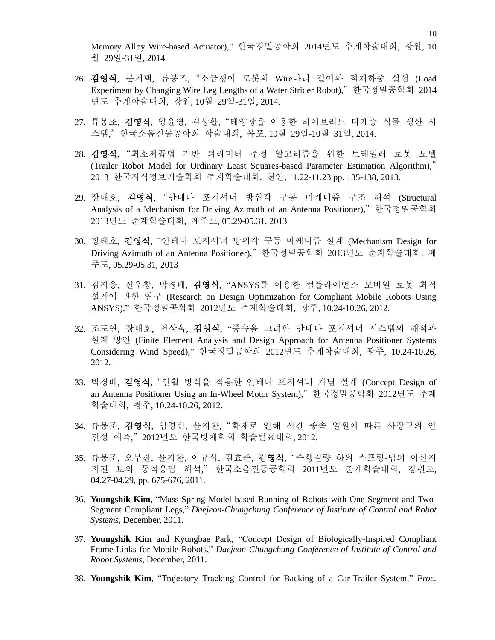Memory Alloy Wire-based Actuator)," 한국정밀공학회 2014년도 추계학술대회, 창원, 10 월 29일-31일, 2014.

- 26. 김영식, 문기택, 류봉조, "소금쟁이 로봇의 Wire다리 길이와 적재하중 실험 (Load Experiment by Changing Wire Leg Lengths of a Water Strider Robot)," 한국정밀공학회 2014 년도 추계학술대회, 창원, 10월 29일-31일, 2014.
- 27. 류봉조, 김영식, 양윤영, 김상활, "태양광을 이용한 하이브리드 다개층 식물 생산 시 스템," 한국소음진동공학회 학술대회, 목포, 10월 29일-10월 31일, 2014.
- 28. 김영식, "최소제곱법 기반 파라미터 추정 알고리즘을 위한 트레일러 로봇 모델 (Trailer Robot Model for Ordinary Least Squares-based Parameter Estimation Algorithm)," 2013 한국지식정보기술학회 추계학술대회, 천안, 11.22-11.23 pp. 135-138, 2013.
- 29. 장태호, 김영식, "안테나 포지셔너 방위각 구동 미케니즘 구조 해석 (Structural Analysis of a Mechanism for Driving Azimuth of an Antenna Positioner)," 한국정밀공학회 2013년도 춘계학술대회, 제주도, 05.29-05.31, 2013
- 30. 장태호, 김영식, "안테나 포지셔너 방위각 구동 미케니즘 설계 (Mechanism Design for Driving Azimuth of an Antenna Positioner)," 한국정밀공학회 2013년도 춘계학술대회, 제 주도, 05.29-05.31, 2013
- 31. 김지웅, 신우창, 박경배, 김영식, "ANSYS를 이용한 컴플라이언스 모바일 로봇 최적 설계에 관한 연구 (Research on Design Optimization for Compliant Mobile Robots Using ANSYS)," 한국정밀공학회 2012년도 추계학술대회, 광주, 10.24-10.26, 2012.
- 32. 조도연, 장태호, 전상욱, 김영식, "풍속을 고려한 안테나 포지셔너 시스템의 해석과 설계 방안 (Finite Element Analysis and Design Approach for Antenna Positioner Systems Considering Wind Speed)," 한국정밀공학회 2012년도 추계학술대회, 광주, 10.24-10.26, 2012.
- 33. 박경배, 김영식, "인휠 방식을 적용한 안테나 포지셔너 개념 설계 (Concept Design of an Antenna Positioner Using an In-Wheel Motor System)," 한국정밀공학회 2012년도 추계 학술대회, 광주, 10.24-10.26, 2012.
- 34. 류봉조, 김영식, 임경빈, 윤지환, "화재로 인해 시간 종속 열원에 따른 사장교의 안 전성 예측," 2012년도 한국방재학회 학술발표대회, 2012.
- 35. 류봉조, 오부진, 윤지환, 이규섭, 김효준, 김영식, "주행질량 하의 스프링-댐퍼 이산지 지된 보의 동적응답 해석," 한국소음진동공학회 2011년도 춘계학술대회, 강원도, 04.27-04.29, pp. 675-676, 2011.
- 36. **Youngshik Kim**, "Mass-Spring Model based Running of Robots with One-Segment and Two-Segment Compliant Legs," *Daejeon-Chungchung Conference of Institute of Control and Robot Systems*, December, 2011.
- 37. **Youngshik Kim** and Kyungbae Park, "Concept Design of Biologically-Inspired Compliant Frame Links for Mobile Robots," *Daejeon-Chungchung Conference of Institute of Control and Robot Systems*, December, 2011.
- 38. **Youngshik Kim**, "Trajectory Tracking Control for Backing of a Car-Trailer System," *Proc.*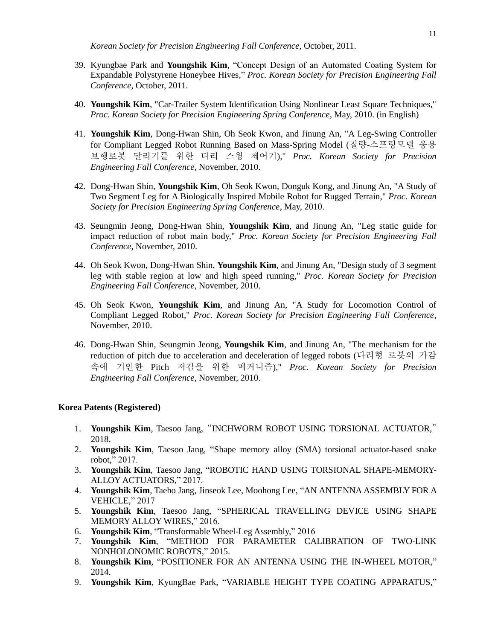*Korean Society for Precision Engineering Fall Conference*, October, 2011.

- 39. Kyungbae Park and **Youngshik Kim**, "Concept Design of an Automated Coating System for Expandable Polystyrene Honeybee Hives," *Proc. Korean Society for Precision Engineering Fall Conference*, October, 2011.
- 40. **Youngshik Kim**, "Car-Trailer System Identification Using Nonlinear Least Square Techniques," *Proc. Korean Society for Precision Engineering Spring Conference*, May, 2010. (in English)
- 41. **Youngshik Kim**, Dong-Hwan Shin, Oh Seok Kwon, and Jinung An, "A Leg-Swing Controller for Compliant Legged Robot Running Based on Mass-Spring Model (질량-스프링모델 응용 보행로봇 달리기를 위한 다리 스윙 제어기)," *Proc. Korean Society for Precision Engineering Fall Conference*, November, 2010.
- 42. Dong-Hwan Shin, **Youngshik Kim**, Oh Seok Kwon, Donguk Kong, and Jinung An, "A Study of Two Segment Leg for A Biologically Inspired Mobile Robot for Rugged Terrain," *Proc. Korean Society for Precision Engineering Spring Conference*, May, 2010.
- 43. Seungmin Jeong, Dong-Hwan Shin, **Youngshik Kim**, and Jinung An, "Leg static guide for impact reduction of robot main body," *Proc. Korean Society for Precision Engineering Fall Conference*, November, 2010.
- 44. Oh Seok Kwon, Dong-Hwan Shin, **Youngshik Kim**, and Jinung An, "Design study of 3 segment leg with stable region at low and high speed running," *Proc. Korean Society for Precision Engineering Fall Conference*, November, 2010.
- 45. Oh Seok Kwon, **Youngshik Kim**, and Jinung An, "A Study for Locomotion Control of Compliant Legged Robot," *Proc. Korean Society for Precision Engineering Fall Conference*, November, 2010.
- 46. Dong-Hwan Shin, Seungmin Jeong, **Youngshik Kim**, and Jinung An, "The mechanism for the reduction of pitch due to acceleration and deceleration of legged robots (다리형 로봇의 가감 속에 기인한 Pitch 저감을 위한 메커니즘)," *Proc. Korean Society for Precision Engineering Fall Conference*, November, 2010.

### **Korea Patents (Registered)**

- 1. **Youngshik Kim**, Taesoo Jang, "INCHWORM ROBOT USING TORSIONAL ACTUATOR," 2018.
- 2. **Youngshik Kim**, Taesoo Jang, "Shape memory alloy (SMA) torsional actuator-based snake robot," 2017.
- 3. **Youngshik Kim**, Taesoo Jang, "ROBOTIC HAND USING TORSIONAL SHAPE-MEMORY-ALLOY ACTUATORS," 2017.
- 4. **Youngshik Kim**, Taeho Jang, Jinseok Lee, Moohong Lee, "AN ANTENNA ASSEMBLY FOR A VEHICLE," 2017
- 5. **Youngshik Kim**, Taesoo Jang, "SPHERICAL TRAVELLING DEVICE USING SHAPE MEMORY ALLOY WIRES," 2016.
- 6. **Youngshik Kim**, "Transformable Wheel-Leg Assembly," 2016
- 7. **Youngshik Kim**, "METHOD FOR PARAMETER CALIBRATION OF TWO-LINK NONHOLONOMIC ROBOTS," 2015.
- 8. **Youngshik Kim**, "POSITIONER FOR AN ANTENNA USING THE IN-WHEEL MOTOR," 2014.
- 9. **Youngshik Kim**, KyungBae Park, "VARIABLE HEIGHT TYPE COATING APPARATUS,"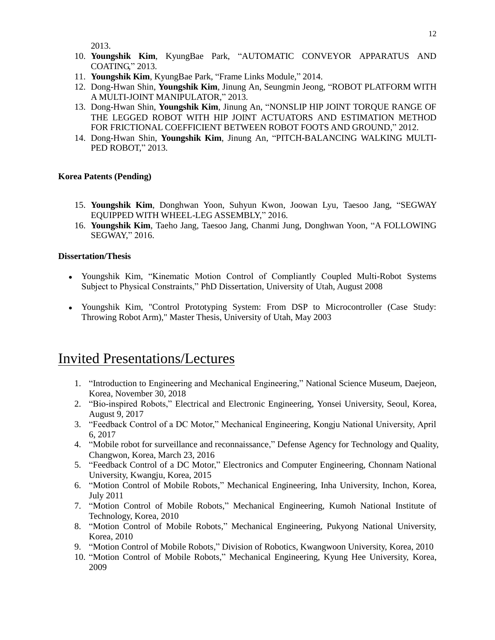2013.

- 10. **Youngshik Kim**, KyungBae Park, "AUTOMATIC CONVEYOR APPARATUS AND COATING," 2013.
- 11. **Youngshik Kim**, KyungBae Park, "Frame Links Module," 2014.
- 12. Dong-Hwan Shin, **Youngshik Kim**, Jinung An, Seungmin Jeong, "ROBOT PLATFORM WITH A MULTI-JOINT MANIPULATOR," 2013.
- 13. Dong-Hwan Shin, **Youngshik Kim**, Jinung An, "NONSLIP HIP JOINT TORQUE RANGE OF THE LEGGED ROBOT WITH HIP JOINT ACTUATORS AND ESTIMATION METHOD FOR FRICTIONAL COEFFICIENT BETWEEN ROBOT FOOTS AND GROUND," 2012.
- 14. Dong-Hwan Shin, **Youngshik Kim**, Jinung An, "PITCH-BALANCING WALKING MULTI-PED ROBOT," 2013.

### **Korea Patents (Pending)**

- 15. **Youngshik Kim**, Donghwan Yoon, Suhyun Kwon, Joowan Lyu, Taesoo Jang, "SEGWAY EQUIPPED WITH WHEEL-LEG ASSEMBLY," 2016.
- 16. **Youngshik Kim**, Taeho Jang, Taesoo Jang, Chanmi Jung, Donghwan Yoon, "A FOLLOWING SEGWAY," 2016.

#### **Dissertation/Thesis**

- Youngshik Kim, "Kinematic Motion Control of Compliantly Coupled Multi-Robot Systems Subject to Physical Constraints," PhD Dissertation, University of Utah, August 2008
- Youngshik Kim, "Control Prototyping System: From DSP to Microcontroller (Case Study: Throwing Robot Arm)," Master Thesis, University of Utah, May 2003

### Invited Presentations/Lectures

- 1. "Introduction to Engineering and Mechanical Engineering," National Science Museum, Daejeon, Korea, November 30, 2018
- 2. "Bio-inspired Robots," Electrical and Electronic Engineering, Yonsei University, Seoul, Korea, August 9, 2017
- 3. "Feedback Control of a DC Motor," Mechanical Engineering, Kongju National University, April 6, 2017
- 4. "Mobile robot for surveillance and reconnaissance," Defense Agency for Technology and Quality, Changwon, Korea, March 23, 2016
- 5. "Feedback Control of a DC Motor," Electronics and Computer Engineering, Chonnam National University, Kwangju, Korea, 2015
- 6. "Motion Control of Mobile Robots," Mechanical Engineering, Inha University, Inchon, Korea, July 2011
- 7. "Motion Control of Mobile Robots," Mechanical Engineering, Kumoh National Institute of Technology, Korea, 2010
- 8. "Motion Control of Mobile Robots," Mechanical Engineering, Pukyong National University, Korea, 2010
- 9. "Motion Control of Mobile Robots," Division of Robotics, Kwangwoon University, Korea, 2010
- 10. "Motion Control of Mobile Robots," Mechanical Engineering, Kyung Hee University, Korea, 2009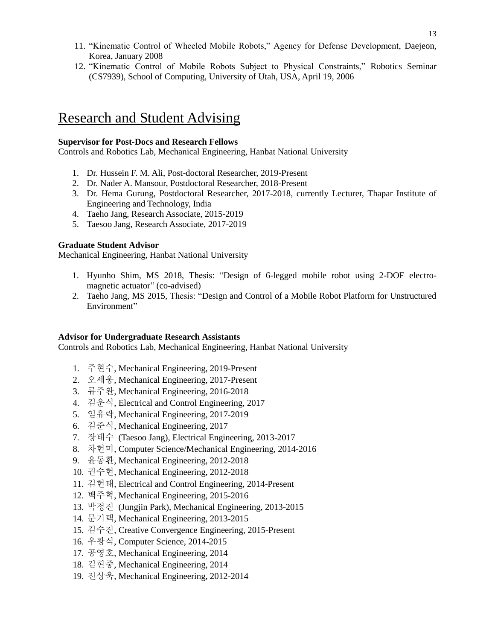- 11. "Kinematic Control of Wheeled Mobile Robots," Agency for Defense Development, Daejeon, Korea, January 2008
- 12. "Kinematic Control of Mobile Robots Subject to Physical Constraints," Robotics Seminar (CS7939), School of Computing, University of Utah, USA, April 19, 2006

## Research and Student Advising

### **Supervisor for Post-Docs and Research Fellows**

Controls and Robotics Lab, Mechanical Engineering, Hanbat National University

- 1. Dr. Hussein F. M. Ali, Post-doctoral Researcher, 2019-Present
- 2. Dr. Nader A. Mansour, Postdoctoral Researcher, 2018-Present
- 3. Dr. Hema Gurung, Postdoctoral Researcher, 2017-2018, currently Lecturer, Thapar Institute of Engineering and Technology, India
- 4. Taeho Jang, Research Associate, 2015-2019
- 5. Taesoo Jang, Research Associate, 2017-2019

### **Graduate Student Advisor**

Mechanical Engineering, Hanbat National University

- 1. Hyunho Shim, MS 2018, Thesis: "Design of 6-legged mobile robot using 2-DOF electromagnetic actuator" (co-advised)
- 2. Taeho Jang, MS 2015, Thesis: "Design and Control of a Mobile Robot Platform for Unstructured Environment"

### **Advisor for Undergraduate Research Assistants**

Controls and Robotics Lab, Mechanical Engineering, Hanbat National University

- 1. 주현수, Mechanical Engineering, 2019-Present
- 2. 오세웅, Mechanical Engineering, 2017-Present
- 3. 류주완, Mechanical Engineering, 2016-2018
- 4. 김운식, Electrical and Control Engineering, 2017
- 5. 임유락, Mechanical Engineering, 2017-2019
- 6. 김준식, Mechanical Engineering, 2017
- 7. 장태수 (Taesoo Jang), Electrical Engineering, 2013-2017
- 8. 차현미, Computer Science/Mechanical Engineering, 2014-2016
- 9. 윤동환, Mechanical Engineering, 2012-2018
- 10. 권수현, Mechanical Engineering, 2012-2018
- 11. 김현태, Electrical and Control Engineering, 2014-Present
- 12. 백주혁, Mechanical Engineering, 2015-2016
- 13. 박정진 (Jungjin Park), Mechanical Engineering, 2013-2015
- 14. 문기택, Mechanical Engineering, 2013-2015
- 15. 김수진, Creative Convergence Engineering, 2015-Present
- 16. 우광식, Computer Science, 2014-2015
- 17. 공영호, Mechanical Engineering, 2014
- 18. 김현중, Mechanical Engineering, 2014
- 19. 전상욱, Mechanical Engineering, 2012-2014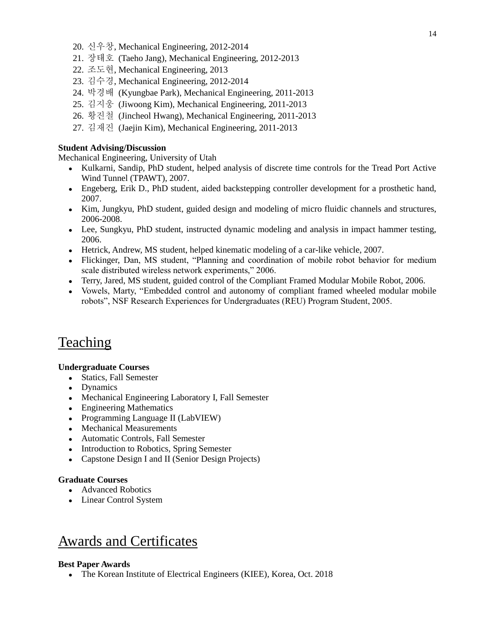- 20. 신우창, Mechanical Engineering, 2012-2014
- 21. 장태호 (Taeho Jang), Mechanical Engineering, 2012-2013
- 22. 조도현, Mechanical Engineering, 2013
- 23. 김수경, Mechanical Engineering, 2012-2014
- 24. 박경배 (Kyungbae Park), Mechanical Engineering, 2011-2013
- 25. 김지웅 (Jiwoong Kim), Mechanical Engineering, 2011-2013
- 26. 황진철 (Jincheol Hwang), Mechanical Engineering, 2011-2013
- 27. 김재진 (Jaejin Kim), Mechanical Engineering, 2011-2013

### **Student Advising/Discussion**

Mechanical Engineering, University of Utah

- Kulkarni, Sandip, PhD student, helped analysis of discrete time controls for the Tread Port Active Wind Tunnel (TPAWT), 2007.
- Engeberg, Erik D., PhD student, aided backstepping controller development for a prosthetic hand, 2007.
- Kim, Jungkyu, PhD student, guided design and modeling of micro fluidic channels and structures, 2006-2008.
- Lee, Sungkyu, PhD student, instructed dynamic modeling and analysis in impact hammer testing, 2006.
- Hetrick, Andrew, MS student, helped kinematic modeling of a car-like vehicle, 2007.
- Flickinger, Dan, MS student, "Planning and coordination of mobile robot behavior for medium scale distributed wireless network experiments," 2006.
- Terry, Jared, MS student, guided control of the Compliant Framed Modular Mobile Robot, 2006.
- Vowels, Marty, "Embedded control and autonomy of compliant framed wheeled modular mobile robots", NSF Research Experiences for Undergraduates (REU) Program Student, 2005.

### Teaching

### **Undergraduate Courses**

- Statics, Fall Semester
- Dynamics
- Mechanical Engineering Laboratory I, Fall Semester
- Engineering Mathematics
- Programming Language II (LabVIEW)
- Mechanical Measurements
- Automatic Controls, Fall Semester
- Introduction to Robotics, Spring Semester
- Capstone Design I and II (Senior Design Projects)

### **Graduate Courses**

- Advanced Robotics
- Linear Control System

### Awards and Certificates

#### **Best Paper Awards**

The Korean Institute of Electrical Engineers (KIEE), Korea, Oct. 2018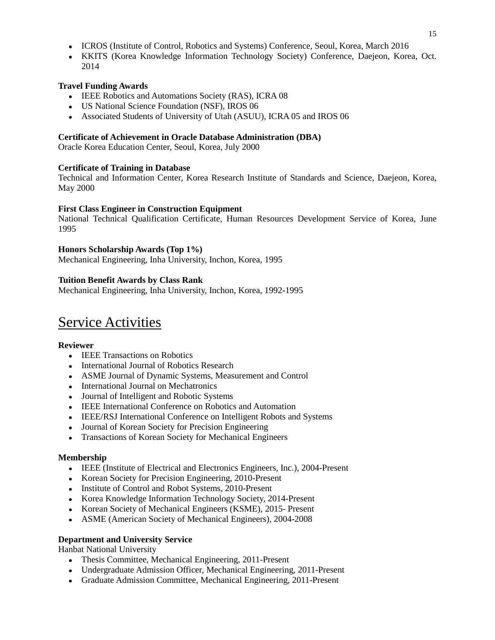- ICROS (Institute of Control, Robotics and Systems) Conference, Seoul, Korea, March 2016
- KKITS (Korea Knowledge Information Technology Society) Conference, Daejeon, Korea, Oct. 2014

### **Travel Funding Awards**

- IEEE Robotics and Automations Society (RAS), ICRA 08
- US National Science Foundation (NSF), IROS 06
- Associated Students of University of Utah (ASUU), ICRA 05 and IROS 06

### **Certificate of Achievement in Oracle Database Administration (DBA)**

Oracle Korea Education Center, Seoul, Korea, July 2000

### **Certificate of Training in Database**

Technical and Information Center, Korea Research Institute of Standards and Science, Daejeon, Korea, May 2000

### **First Class Engineer in Construction Equipment**

National Technical Qualification Certificate, Human Resources Development Service of Korea, June 1995

### **Honors Scholarship Awards (Top 1%)**

Mechanical Engineering, Inha University, Inchon, Korea, 1995

### **Tuition Benefit Awards by Class Rank**

Mechanical Engineering, Inha University, Inchon, Korea, 1992-1995

# Service Activities

### **Reviewer**

- IEEE Transactions on Robotics
- International Journal of Robotics Research
- ASME Journal of Dynamic Systems, Measurement and Control
- International Journal on Mechatronics
- Journal of Intelligent and Robotic Systems
- IEEE International Conference on Robotics and Automation
- IEEE/RSJ International Conference on Intelligent Robots and Systems
- Journal of Korean Society for Precision Engineering
- Transactions of Korean Society for Mechanical Engineers

### **Membership**

- IEEE (Institute of Electrical and Electronics Engineers, Inc.), 2004-Present
- Korean Society for Precision Engineering, 2010-Present
- Institute of Control and Robot Systems, 2010-Present
- Korea Knowledge Information Technology Society, 2014-Present
- Korean Society of Mechanical Engineers (KSME), 2015-Present
- ASME (American Society of Mechanical Engineers), 2004-2008

### **Department and University Service**

Hanbat National University

- Thesis Committee, Mechanical Engineering, 2011-Present
- Undergraduate Admission Officer, Mechanical Engineering, 2011-Present
- Graduate Admission Committee, Mechanical Engineering, 2011-Present